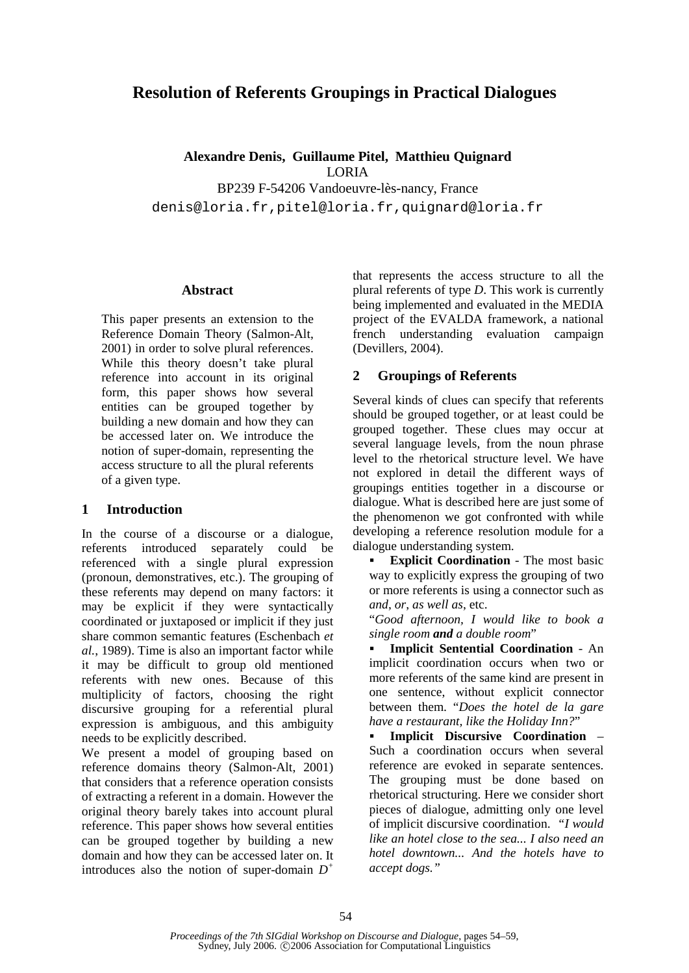# **Resolution of Referents Groupings in Practical Dialogues**

**Alexandre Denis, Guillaume Pitel, Matthieu Quignard**  LORIA BP239 F-54206 Vandoeuvre-lès-nancy, France denis@loria.fr,pitel@loria.fr,quignard@loria.fr

#### **Abstract**

This paper presents an extension to the Reference Domain Theory (Salmon-Alt, 2001) in order to solve plural references. While this theory doesn't take plural reference into account in its original form, this paper shows how several entities can be grouped together by building a new domain and how they can be accessed later on. We introduce the notion of super-domain, representing the access structure to all the plural referents of a given type.

### **1 Introduction**

In the course of a discourse or a dialogue, referents introduced separately could be referenced with a single plural expression (pronoun, demonstratives, etc.). The grouping of these referents may depend on many factors: it may be explicit if they were syntactically coordinated or juxtaposed or implicit if they just share common semantic features (Eschenbach *et al.*, 1989). Time is also an important factor while it may be difficult to group old mentioned referents with new ones. Because of this multiplicity of factors, choosing the right discursive grouping for a referential plural expression is ambiguous, and this ambiguity needs to be explicitly described.

We present a model of grouping based on reference domains theory (Salmon-Alt, 2001) that considers that a reference operation consists of extracting a referent in a domain. However the original theory barely takes into account plural reference. This paper shows how several entities can be grouped together by building a new domain and how they can be accessed later on. It introduces also the notion of super-domain *D +*

that represents the access structure to all the plural referents of type *D*. This work is currently being implemented and evaluated in the MEDIA project of the EVALDA framework, a national french understanding evaluation campaign (Devillers, 2004).

## **2 Groupings of Referents**

Several kinds of clues can specify that referents should be grouped together, or at least could be grouped together. These clues may occur at several language levels, from the noun phrase level to the rhetorical structure level. We have not explored in detail the different ways of groupings entities together in a discourse or dialogue. What is described here are just some of the phenomenon we got confronted with while developing a reference resolution module for a dialogue understanding system.

 **Explicit Coordination** - The most basic way to explicitly express the grouping of two or more referents is using a connector such as *and*, *or*, *as well as*, etc.

"*Good afternoon, I would like to book a single room and a double room*"

 **Implicit Sentential Coordination** - An implicit coordination occurs when two or more referents of the same kind are present in one sentence, without explicit connector between them. "*Does the hotel de la gare have a restaurant, like the Holiday Inn?*"

 **Implicit Discursive Coordination** – Such a coordination occurs when several reference are evoked in separate sentences. The grouping must be done based on rhetorical structuring. Here we consider short pieces of dialogue, admitting only one level of implicit discursive coordination. *"I would like an hotel close to the sea... I also need an hotel downtown... And the hotels have to accept dogs."*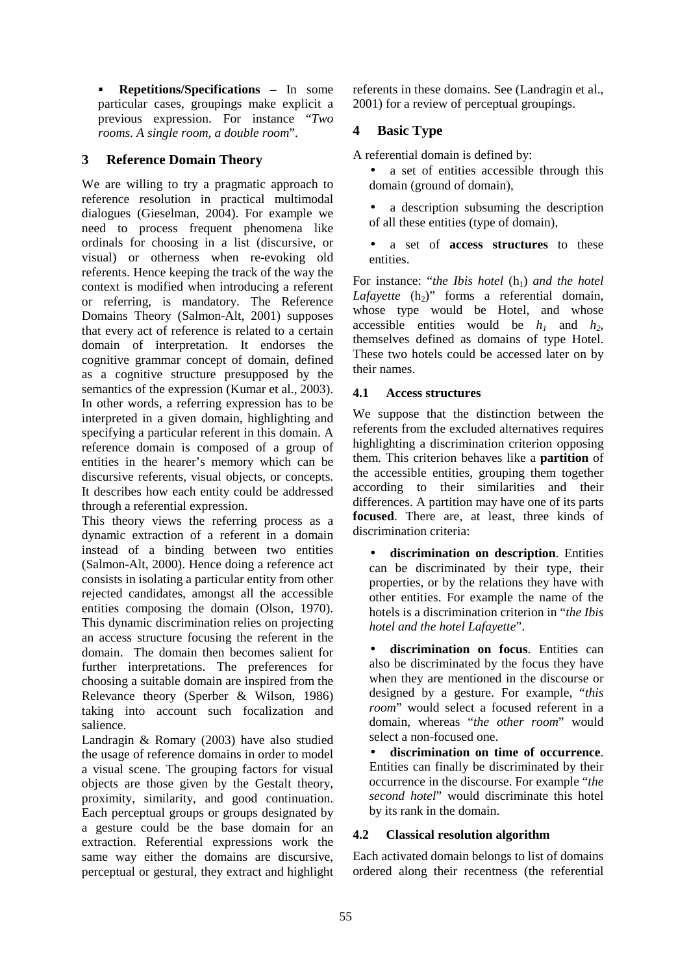**Repetitions/Specifications** – In some particular cases, groupings make explicit a previous expression. For instance "*Two rooms. A single room, a double room*".

# **3 Reference Domain Theory**

We are willing to try a pragmatic approach to reference resolution in practical multimodal dialogues (Gieselman, 2004). For example we need to process frequent phenomena like ordinals for choosing in a list (discursive, or visual) or otherness when re-evoking old referents. Hence keeping the track of the way the context is modified when introducing a referent or referring, is mandatory. The Reference Domains Theory (Salmon-Alt, 2001) supposes that every act of reference is related to a certain domain of interpretation. It endorses the cognitive grammar concept of domain, defined as a cognitive structure presupposed by the semantics of the expression (Kumar et al., 2003). In other words, a referring expression has to be interpreted in a given domain, highlighting and specifying a particular referent in this domain. A reference domain is composed of a group of entities in the hearer's memory which can be discursive referents, visual objects, or concepts. It describes how each entity could be addressed through a referential expression.

This theory views the referring process as a dynamic extraction of a referent in a domain instead of a binding between two entities (Salmon-Alt, 2000). Hence doing a reference act consists in isolating a particular entity from other rejected candidates, amongst all the accessible entities composing the domain (Olson, 1970). This dynamic discrimination relies on projecting an access structure focusing the referent in the domain. The domain then becomes salient for further interpretations. The preferences for choosing a suitable domain are inspired from the Relevance theory (Sperber & Wilson, 1986) taking into account such focalization and salience.

Landragin & Romary (2003) have also studied the usage of reference domains in order to model a visual scene. The grouping factors for visual objects are those given by the Gestalt theory, proximity, similarity, and good continuation. Each perceptual groups or groups designated by a gesture could be the base domain for an extraction. Referential expressions work the same way either the domains are discursive, perceptual or gestural, they extract and highlight

referents in these domains. See (Landragin et al., 2001) for a review of perceptual groupings.

# **4 Basic Type**

A referential domain is defined by:

- a set of entities accessible through this domain (ground of domain),
- a description subsuming the description of all these entities (type of domain),
- a set of **access structures** to these entities.

For instance: "*the Ibis hotel* (h<sub>1</sub>) and the hotel *Lafayette*  $(h_2)$ " forms a referential domain, whose type would be Hotel, and whose accessible entities would be  $h_1$  and  $h_2$ , themselves defined as domains of type Hotel. These two hotels could be accessed later on by their names.

## **4.1 Access structures**

We suppose that the distinction between the referents from the excluded alternatives requires highlighting a discrimination criterion opposing them. This criterion behaves like a **partition** of the accessible entities, grouping them together according to their similarities and their differences. A partition may have one of its parts **focused**. There are, at least, three kinds of discrimination criteria:

• **discrimination on description**. Entities can be discriminated by their type, their properties, or by the relations they have with other entities. For example the name of the hotels is a discrimination criterion in "*the Ibis hotel and the hotel Lafayette*".

• **discrimination on focus**. Entities can also be discriminated by the focus they have when they are mentioned in the discourse or designed by a gesture. For example, "*this room*" would select a focused referent in a domain, whereas "*the other room*" would select a non-focused one.

• **discrimination on time of occurrence**. Entities can finally be discriminated by their occurrence in the discourse. For example "*the second hotel*" would discriminate this hotel by its rank in the domain.

### **4.2 Classical resolution algorithm**

Each activated domain belongs to list of domains ordered along their recentness (the referential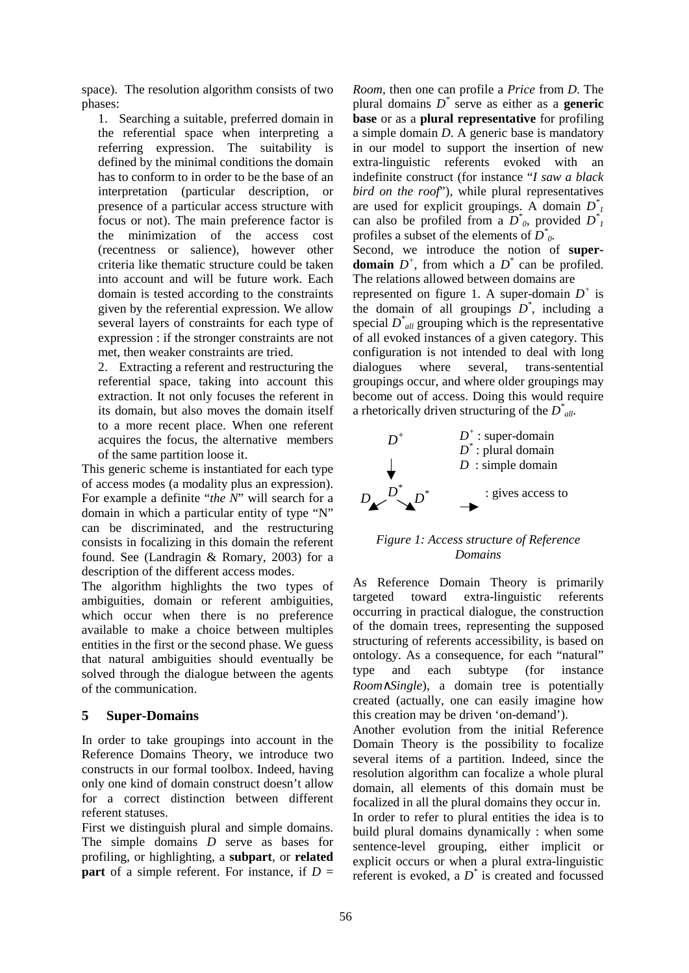space). The resolution algorithm consists of two phases:

1. Searching a suitable, preferred domain in the referential space when interpreting a referring expression. The suitability is defined by the minimal conditions the domain has to conform to in order to be the base of an interpretation (particular description, or presence of a particular access structure with focus or not). The main preference factor is the minimization of the access cost (recentness or salience), however other criteria like thematic structure could be taken into account and will be future work. Each domain is tested according to the constraints given by the referential expression. We allow several layers of constraints for each type of expression : if the stronger constraints are not met, then weaker constraints are tried.

2. Extracting a referent and restructuring the referential space, taking into account this extraction. It not only focuses the referent in its domain, but also moves the domain itself to a more recent place. When one referent acquires the focus, the alternative members of the same partition loose it.

This generic scheme is instantiated for each type of access modes (a modality plus an expression). For example a definite "*the N*" will search for a domain in which a particular entity of type "N" can be discriminated, and the restructuring consists in focalizing in this domain the referent found. See (Landragin & Romary, 2003) for a description of the different access modes.

The algorithm highlights the two types of ambiguities, domain or referent ambiguities, which occur when there is no preference available to make a choice between multiples entities in the first or the second phase. We guess that natural ambiguities should eventually be solved through the dialogue between the agents of the communication.

#### **5 Super-Domains**

In order to take groupings into account in the Reference Domains Theory, we introduce two constructs in our formal toolbox. Indeed, having only one kind of domain construct doesn't allow for a correct distinction between different referent statuses.

First we distinguish plural and simple domains. The simple domains *D* serve as bases for profiling, or highlighting, a **subpart**, or **related part** of a simple referent. For instance, if  $D =$ 

*Room*, then one can profile a *Price* from *D*. The plural domains  $D^*$  serve as either as a **generic base** or as a **plural representative** for profiling a simple domain *D*. A generic base is mandatory in our model to support the insertion of new extra-linguistic referents evoked with an indefinite construct (for instance "*I saw a black bird on the roof*"), while plural representatives are used for explicit groupings. A domain  $D^*$ can also be profiled from a  $D^*$ <sub>0</sub>, provided  $D^*$ <sub>1</sub> profiles a subset of the elements of  $D^*$ <sub>0</sub>.

Second, we introduce the notion of **superdomain**  $D^+$ , from which a  $D^*$  can be profiled. The relations allowed between domains are

represented on figure 1. A super-domain  $D^+$  is the domain of all groupings  $D^*$ , including a special  $D^*$ <sub>*all*</sub> grouping which is the representative of all evoked instances of a given category. This configuration is not intended to deal with long dialogues where several, trans-sentential groupings occur, and where older groupings may become out of access. Doing this would require a rhetorically driven structuring of the  $D^*_{all}$ .



#### *Figure 1: Access structure of Reference Domains*

As Reference Domain Theory is primarily targeted toward extra-linguistic referents occurring in practical dialogue, the construction of the domain trees, representing the supposed structuring of referents accessibility, is based on ontology. As a consequence, for each "natural" type and each subtype (for instance *Room*∧*Single*), a domain tree is potentially created (actually, one can easily imagine how this creation may be driven 'on-demand').

Another evolution from the initial Reference Domain Theory is the possibility to focalize several items of a partition. Indeed, since the resolution algorithm can focalize a whole plural domain, all elements of this domain must be focalized in all the plural domains they occur in. In order to refer to plural entities the idea is to build plural domains dynamically : when some sentence-level grouping, either implicit or explicit occurs or when a plural extra-linguistic referent is evoked, a *D \** is created and focussed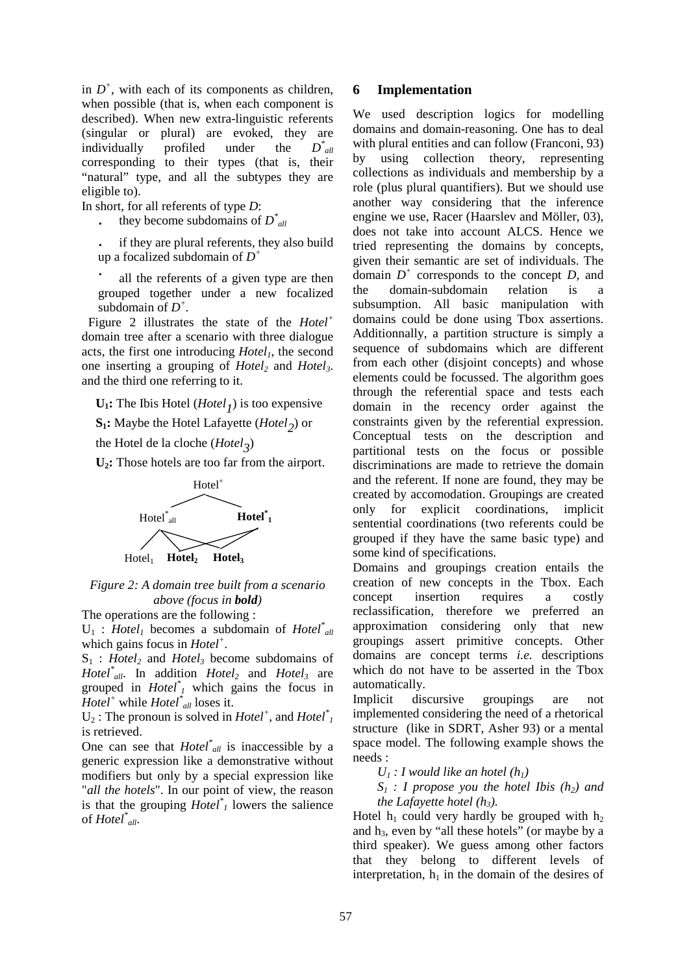in  $D^+$ , with each of its components as children, when possible (that is, when each component is described). When new extra-linguistic referents (singular or plural) are evoked, they are individually profiled under the *\* all* corresponding to their types (that is, their "natural" type, and all the subtypes they are eligible to).

In short, for all referents of type *D*:

- they become subdomains of  $D^*_{all}$
- if they are plural referents, they also build up a focalized subdomain of *D +*
- all the referents of a given type are then grouped together under a new focalized subdomain of  $D^+$ .

 Figure 2 illustrates the state of the *Hotel<sup>+</sup>* domain tree after a scenario with three dialogue acts, the first one introducing *Hotel1*, the second one inserting a grouping of *Hotel2* and *Hotel3*. and the third one referring to it.

 $U_1$ : The Ibis Hotel (*Hotel*<sub>1</sub>) is too expensive

**S1:** Maybe the Hotel Lafayette (*Hotel2* ) or

the Hotel de la cloche (*Hotel*<sub>3</sub>)

**U2:** Those hotels are too far from the airport.



*Figure 2: A domain tree built from a scenario above (focus in bold)* 

The operations are the following :

 $U_1$ : *Hotel<sub>1</sub>* becomes a subdomain of *Hotel*<sup>\*</sup><sub>all</sub> which gains focus in *Hotel<sup>+</sup>* .

S1 : *Hotel2* and *Hotel3* become subdomains of *Hotel\* all*. In addition *Hotel2* and *Hotel3* are grouped in *Hotel\* <sup>1</sup>* which gains the focus in *Hotel<sup>+</sup>* while *Hotel\* all* loses it.

 $U_2$ : The pronoun is solved in *Hotel*<sup>+</sup>, and *Hotel*<sup>\*</sup><sub>*1*</sub> is retrieved.

One can see that *Hotel\* all* is inaccessible by a generic expression like a demonstrative without modifiers but only by a special expression like "*all the hotels*". In our point of view, the reason is that the grouping  $H\acute{o}tel^*$  lowers the salience of *Hotel\* all*.

#### **6 Implementation**

We used description logics for modelling domains and domain-reasoning. One has to deal with plural entities and can follow (Franconi, 93) by using collection theory, representing collections as individuals and membership by a role (plus plural quantifiers). But we should use another way considering that the inference engine we use, Racer (Haarslev and Möller, 03), does not take into account ALCS. Hence we tried representing the domains by concepts, given their semantic are set of individuals. The domain  $D^+$  corresponds to the concept  $D$ , and the domain-subdomain relation is a subsumption. All basic manipulation with domains could be done using Tbox assertions. Additionnally, a partition structure is simply a sequence of subdomains which are different from each other (disjoint concepts) and whose elements could be focussed. The algorithm goes through the referential space and tests each domain in the recency order against the constraints given by the referential expression. Conceptual tests on the description and partitional tests on the focus or possible discriminations are made to retrieve the domain and the referent. If none are found, they may be created by accomodation. Groupings are created only for explicit coordinations, implicit sentential coordinations (two referents could be grouped if they have the same basic type) and some kind of specifications.

Domains and groupings creation entails the creation of new concepts in the Tbox. Each concept insertion requires a costly reclassification, therefore we preferred an approximation considering only that new groupings assert primitive concepts. Other domains are concept terms *i.e.* descriptions which do not have to be asserted in the Tbox automatically.

Implicit discursive groupings are not implemented considering the need of a rhetorical structure (like in SDRT, Asher 93) or a mental space model. The following example shows the needs :

 $U_1$  *: I would like an hotel (h<sub>1</sub>)* 

 $S_1$  : I propose you the hotel Ibis  $(h_2)$  and  *the Lafayette hotel (h3).* 

Hotel  $h_1$  could very hardly be grouped with  $h_2$ and  $h_3$ , even by "all these hotels" (or maybe by a third speaker). We guess among other factors that they belong to different levels of interpretation,  $h_1$  in the domain of the desires of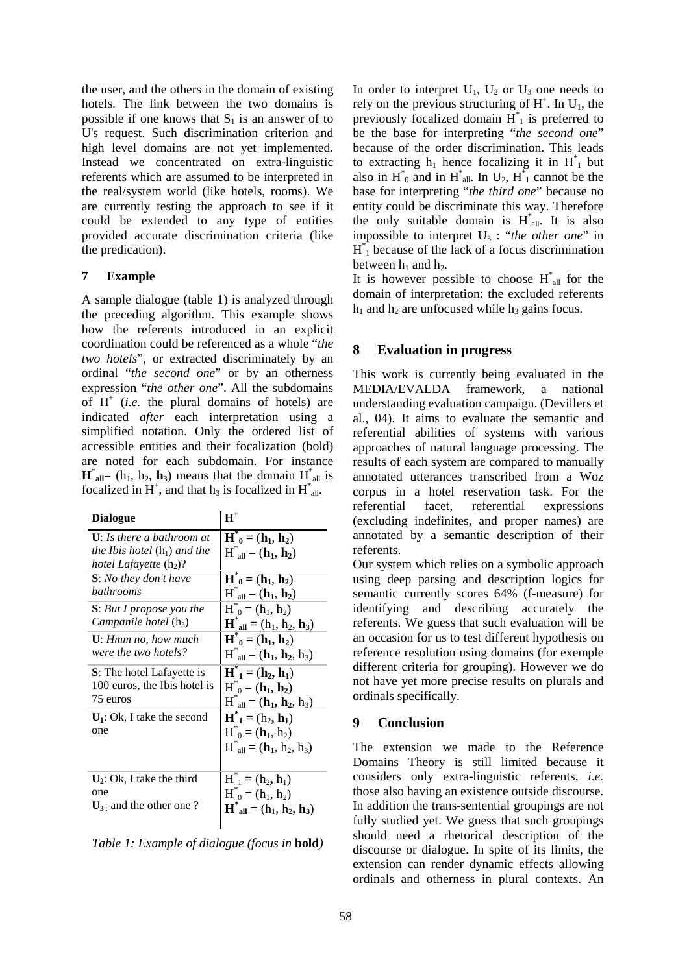the user, and the others in the domain of existing hotels. The link between the two domains is possible if one knows that  $S_1$  is an answer of to U's request. Such discrimination criterion and high level domains are not yet implemented. Instead we concentrated on extra-linguistic referents which are assumed to be interpreted in the real/system world (like hotels, rooms). We are currently testing the approach to see if it could be extended to any type of entities provided accurate discrimination criteria (like the predication).

#### **7 Example**

A sample dialogue (table 1) is analyzed through the preceding algorithm. This example shows how the referents introduced in an explicit coordination could be referenced as a whole "*the two hotels*", or extracted discriminately by an ordinal "*the second one*" or by an otherness expression "*the other one*". All the subdomains of  $H^+$  (*i.e.* the plural domains of hotels) are indicated *after* each interpretation using a simplified notation. Only the ordered list of accessible entities and their focalization (bold) are noted for each subdomain. For instance  $\mathbf{H}^*$ <sub>all</sub> = (h<sub>1</sub>, h<sub>2</sub>, h<sub>3</sub>) means that the domain  $\mathbf{H}^*$ <sub>all</sub> is focalized in H<sup>+</sup>, and that  $h_3$  is focalized in H<sup>\*</sup><sub>all</sub>.

| <b>Dialogue</b>                                                                                                   | $\mathbf{H}^+$                                                                                     |
|-------------------------------------------------------------------------------------------------------------------|----------------------------------------------------------------------------------------------------|
| $U:$ Is there a bathroom at<br><i>the Ibis hotel</i> $(h_1)$ <i>and the</i><br>hotel Lafayette (h <sub>2</sub> )? | $H^*_{0} = (h_1, h_2)$<br>$H^*_{all} = (h_1, h_2)$                                                 |
| <b>S</b> : No they don't have                                                                                     | $\overline{H}_{0}^{*} = (h_{1}, h_{2})$                                                            |
| bathrooms                                                                                                         | $H^*_{all} = (\mathbf{h}_1, \mathbf{h}_2)$                                                         |
| <b>S</b> : But I propose you the                                                                                  | $H^*_{0} = (h_1, h_2)$                                                                             |
| <i>Campanile hotel</i> $(h_3)$                                                                                    | $\mathbf{H}^*$ <sub>all</sub> = (h <sub>1</sub> , h <sub>2</sub> , h <sub>3</sub> )                |
| <b>U</b> : Hmm no, how much                                                                                       | $\overline{H}_{0}^{*} = (h_{1}, h_{2})$                                                            |
| were the two hotels?                                                                                              | $H^*_{all} = (h_1, h_2, h_3)$                                                                      |
| <b>S</b> : The hotel Lafayette is                                                                                 | $\overline{H}_{1}^{*} = (h_{2}, h_{1})$                                                            |
| 100 euros, the Ibis hotel is                                                                                      | $H^*_{0} = (h_1, h_2)$                                                                             |
| 75 euros                                                                                                          | $H^*_{all} = (h_1, h_2, h_3)$                                                                      |
| $U_1$ : Ok, I take the second<br>one                                                                              | $\overline{H}_{1}^{*} = (h_{2}, h_{1})$<br>$H^*_{0} = (h_1, h_2)$<br>$H^*_{all} = (h_1, h_2, h_3)$ |
| $U_2$ : Ok, I take the third                                                                                      | $\overline{H}_{1}^{*} = (h_{2}, h_{1})$                                                            |
| one                                                                                                               | $H^*_{0} = (h_1, h_2)$                                                                             |
| $U_3$ and the other one?                                                                                          | ${\bf H}^*_{\text{all}} = (h_1, h_2, h_3)$                                                         |

*Table 1: Example of dialogue (focus in* **bold***)* 

In order to interpret  $U_1$ ,  $U_2$  or  $U_3$  one needs to rely on the previous structuring of  $H^+$ . In  $U_1$ , the previously focalized domain  $H_{1}^{*}$  is preferred to be the base for interpreting "*the second one*" because of the order discrimination. This leads to extracting  $h_1$  hence focalizing it in  $H_1^*$  but also in  $H^*_{0}$  and in  $H^*_{all}$ . In  $U_2$ ,  $H^*_{1}$  cannot be the base for interpreting "*the third one*" because no entity could be discriminate this way. Therefore the only suitable domain is  $H^*_{all}$ . It is also impossible to interpret  $U_3$ : "*the other one*" in  $H_{1}^{*}$  because of the lack of a focus discrimination between  $h_1$  and  $h_2$ .

It is however possible to choose  $H^*_{all}$  for the domain of interpretation: the excluded referents  $h_1$  and  $h_2$  are unfocused while  $h_3$  gains focus.

## **8 Evaluation in progress**

This work is currently being evaluated in the MEDIA/EVALDA framework, a national understanding evaluation campaign. (Devillers et al., 04). It aims to evaluate the semantic and referential abilities of systems with various approaches of natural language processing. The results of each system are compared to manually annotated utterances transcribed from a Woz corpus in a hotel reservation task. For the referential facet, referential expressions (excluding indefinites, and proper names) are annotated by a semantic description of their referents.

Our system which relies on a symbolic approach using deep parsing and description logics for semantic currently scores 64% (f-measure) for identifying and describing accurately the referents. We guess that such evaluation will be an occasion for us to test different hypothesis on reference resolution using domains (for exemple different criteria for grouping). However we do not have yet more precise results on plurals and ordinals specifically.

### **9 Conclusion**

The extension we made to the Reference Domains Theory is still limited because it considers only extra-linguistic referents, *i.e.* those also having an existence outside discourse. In addition the trans-sentential groupings are not fully studied yet. We guess that such groupings should need a rhetorical description of the discourse or dialogue. In spite of its limits, the extension can render dynamic effects allowing ordinals and otherness in plural contexts. An